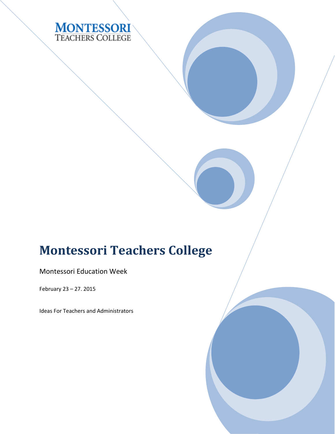

# **Montessori Teachers College**

Montessori Education Week

February 23 – 27. 2015

Ideas For Teachers and Administrators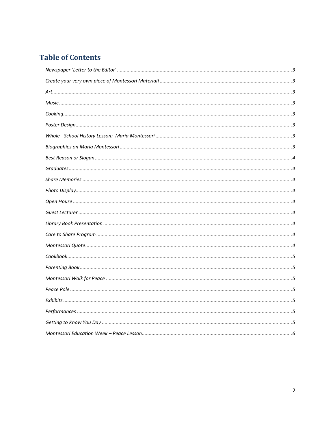### **Table of Contents**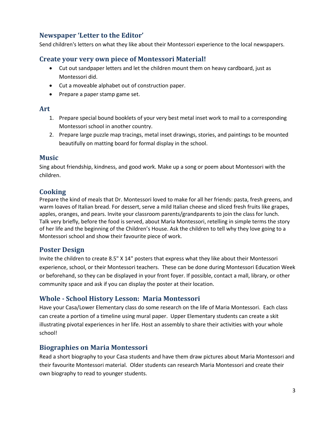#### <span id="page-2-0"></span>**Newspaper 'Letter to the Editor'**

Send children's letters on what they like about their Montessori experience to the local newspapers.

#### <span id="page-2-1"></span>**Create your very own piece of Montessori Material!**

- Cut out sandpaper letters and let the children mount them on heavy cardboard, just as Montessori did.
- Cut a moveable alphabet out of construction paper.
- Prepare a paper stamp game set.

#### <span id="page-2-2"></span>**Art**

- 1. Prepare special bound booklets of your very best metal inset work to mail to a corresponding Montessori school in another country.
- 2. Prepare large puzzle map tracings, metal inset drawings, stories, and paintings to be mounted beautifully on matting board for formal display in the school.

#### <span id="page-2-3"></span>**Music**

Sing about friendship, kindness, and good work. Make up a song or poem about Montessori with the children.

#### <span id="page-2-4"></span>**Cooking**

Prepare the kind of meals that Dr. Montessori loved to make for all her friends: pasta, fresh greens, and warm loaves of Italian bread. For dessert, serve a mild Italian cheese and sliced fresh fruits like grapes, apples, oranges, and pears. Invite your classroom parents/grandparents to join the class for lunch. Talk very briefly, before the food is served, about Maria Montessori, retelling in simple terms the story of her life and the beginning of the Children's House. Ask the children to tell why they love going to a Montessori school and show their favourite piece of work.

#### <span id="page-2-5"></span>**Poster Design**

Invite the children to create 8.5" X 14" posters that express what they like about their Montessori experience, school, or their Montessori teachers. These can be done during Montessori Education Week or beforehand, so they can be displayed in your front foyer. If possible, contact a mall, library, or other community space and ask if you can display the poster at their location.

#### <span id="page-2-6"></span>**Whole - School History Lesson: Maria Montessori**

Have your Casa/Lower Elementary class do some research on the life of Maria Montessori. Each class can create a portion of a timeline using mural paper. Upper Elementary students can create a skit illustrating pivotal experiences in her life. Host an assembly to share their activities with your whole school!

#### <span id="page-2-7"></span>**Biographies on Maria Montessori**

Read a short biography to your Casa students and have them draw pictures about Maria Montessori and their favourite Montessori material. Older students can research Maria Montessori and create their own biography to read to younger students.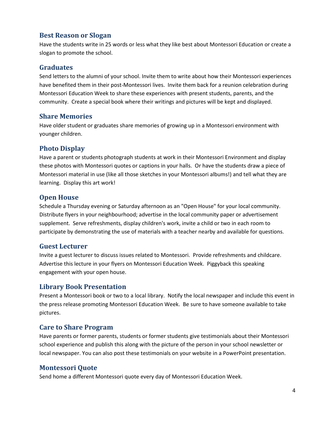#### <span id="page-3-0"></span>**Best Reason or Slogan**

Have the students write in 25 words or less what they like best about Montessori Education or create a slogan to promote the school.

#### <span id="page-3-1"></span>**Graduates**

Send letters to the alumni of your school. Invite them to write about how their Montessori experiences have benefited them in their post-Montessori lives. Invite them back for a reunion celebration during Montessori Education Week to share these experiences with present students, parents, and the community. Create a special book where their writings and pictures will be kept and displayed.

#### <span id="page-3-2"></span>**Share Memories**

Have older student or graduates share memories of growing up in a Montessori environment with younger children.

#### <span id="page-3-3"></span>**Photo Display**

Have a parent or students photograph students at work in their Montessori Environment and display these photos with Montessori quotes or captions in your halls. Or have the students draw a piece of Montessori material in use (like all those sketches in your Montessori albums!) and tell what they are learning. Display this art work!

#### <span id="page-3-4"></span>**Open House**

Schedule a Thursday evening or Saturday afternoon as an "Open House" for your local community. Distribute flyers in your neighbourhood; advertise in the local community paper or advertisement supplement. Serve refreshments, display children's work, invite a child or two in each room to participate by demonstrating the use of materials with a teacher nearby and available for questions.

#### <span id="page-3-5"></span>**Guest Lecturer**

Invite a guest lecturer to discuss issues related to Montessori. Provide refreshments and childcare. Advertise this lecture in your flyers on Montessori Education Week. Piggyback this speaking engagement with your open house.

#### <span id="page-3-6"></span>**Library Book Presentation**

Present a Montessori book or two to a local library. Notify the local newspaper and include this event in the press release promoting Montessori Education Week. Be sure to have someone available to take pictures.

#### <span id="page-3-7"></span>**Care to Share Program**

Have parents or former parents, students or former students give testimonials about their Montessori school experience and publish this along with the picture of the person in your school newsletter or local newspaper. You can also post these testimonials on your website in a PowerPoint presentation.

#### <span id="page-3-8"></span>**Montessori Quote**

Send home a different Montessori quote every day of Montessori Education Week.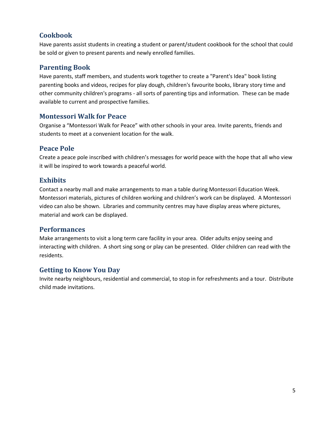#### <span id="page-4-0"></span>**Cookbook**

Have parents assist students in creating a student or parent/student cookbook for the school that could be sold or given to present parents and newly enrolled families.

#### <span id="page-4-1"></span>**Parenting Book**

Have parents, staff members, and students work together to create a "Parent's Idea" book listing parenting books and videos, recipes for play dough, children's favourite books, library story time and other community children's programs - all sorts of parenting tips and information. These can be made available to current and prospective families.

#### <span id="page-4-2"></span>**Montessori Walk for Peace**

Organise a "Montessori Walk for Peace" with other schools in your area. Invite parents, friends and students to meet at a convenient location for the walk.

#### <span id="page-4-3"></span>**Peace Pole**

Create a peace pole inscribed with children's messages for world peace with the hope that all who view it will be inspired to work towards a peaceful world.

#### <span id="page-4-4"></span>**Exhibits**

Contact a nearby mall and make arrangements to man a table during Montessori Education Week. Montessori materials, pictures of children working and children's work can be displayed. A Montessori video can also be shown. Libraries and community centres may have display areas where pictures, material and work can be displayed.

#### <span id="page-4-5"></span>**Performances**

Make arrangements to visit a long term care facility in your area. Older adults enjoy seeing and interacting with children. A short sing song or play can be presented. Older children can read with the residents.

#### <span id="page-4-6"></span>**Getting to Know You Day**

Invite nearby neighbours, residential and commercial, to stop in for refreshments and a tour. Distribute child made invitations.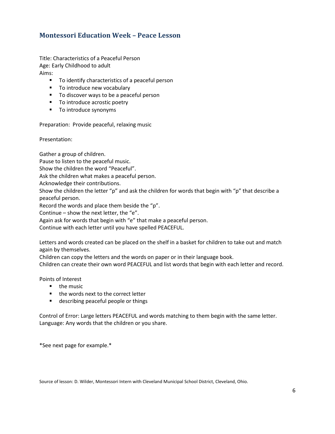#### <span id="page-5-0"></span>**Montessori Education Week – Peace Lesson**

Title: Characteristics of a Peaceful Person Age: Early Childhood to adult Aims:

- **T** To identify characteristics of a peaceful person
- To introduce new vocabulary
- **To discover ways to be a peaceful person**
- To introduce acrostic poetry
- **To introduce synonyms**

Preparation: Provide peaceful, relaxing music

Presentation:

Gather a group of children.

Pause to listen to the peaceful music.

Show the children the word "Peaceful".

Ask the children what makes a peaceful person.

Acknowledge their contributions.

Show the children the letter "p" and ask the children for words that begin with "p" that describe a peaceful person.

Record the words and place them beside the "p".

Continue – show the next letter, the "e".

Again ask for words that begin with "e" that make a peaceful person.

Continue with each letter until you have spelled PEACEFUL.

Letters and words created can be placed on the shelf in a basket for children to take out and match again by themselves.

Children can copy the letters and the words on paper or in their language book.

Children can create their own word PEACEFUL and list words that begin with each letter and record.

Points of Interest

- $\blacksquare$  the music
- the words next to the correct letter
- **describing peaceful people or things**

Control of Error: Large letters PEACEFUL and words matching to them begin with the same letter. Language: Any words that the children or you share.

\*See next page for example.\*

Source of lesson: D. Wilder, Montessori Intern with Cleveland Municipal School District, Cleveland, Ohio.